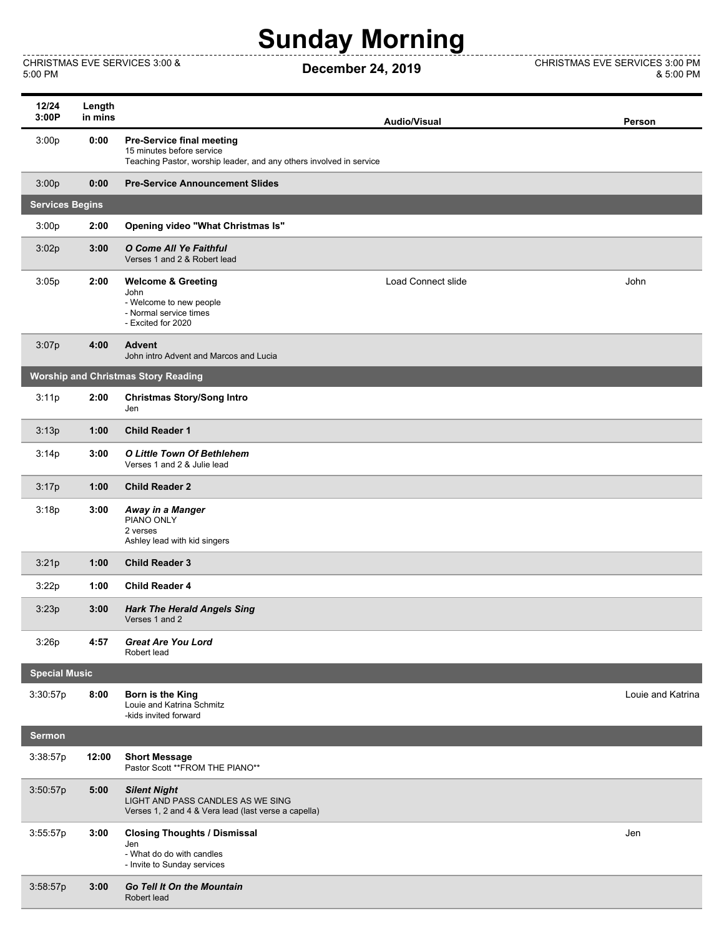## **Sunday Morning**

CHRISTMAS EVE SERVICES 3:00 &

------------

 $- - - -$ CHRISTMAS EVE SERVICES 3:00 &<br>5:00 PM 6:00 PM **December 24, 2019** CHRISTMAS EVE SERVICES 3:00 PM & 5:00 PM

| 12/24<br>3:00P                             | Length<br>in mins |                                                                                                                                      | <b>Audio/Visual</b>       | Person            |  |  |  |
|--------------------------------------------|-------------------|--------------------------------------------------------------------------------------------------------------------------------------|---------------------------|-------------------|--|--|--|
| 3:00p                                      | 0:00              | <b>Pre-Service final meeting</b><br>15 minutes before service<br>Teaching Pastor, worship leader, and any others involved in service |                           |                   |  |  |  |
| 3:00p                                      | 0:00              | <b>Pre-Service Announcement Slides</b>                                                                                               |                           |                   |  |  |  |
| <b>Services Begins</b>                     |                   |                                                                                                                                      |                           |                   |  |  |  |
| 3:00p                                      | 2:00              | Opening video "What Christmas Is"                                                                                                    |                           |                   |  |  |  |
| 3:02p                                      | 3:00              | O Come All Ye Faithful<br>Verses 1 and 2 & Robert lead                                                                               |                           |                   |  |  |  |
| 3:05p                                      | 2:00              | <b>Welcome &amp; Greeting</b><br>John<br>- Welcome to new people<br>- Normal service times<br>- Excited for 2020                     | <b>Load Connect slide</b> | John              |  |  |  |
| 3:07p                                      | 4:00              | <b>Advent</b><br>John intro Advent and Marcos and Lucia                                                                              |                           |                   |  |  |  |
| <b>Worship and Christmas Story Reading</b> |                   |                                                                                                                                      |                           |                   |  |  |  |
| 3:11p                                      | 2:00              | <b>Christmas Story/Song Intro</b><br>Jen                                                                                             |                           |                   |  |  |  |
| 3:13p                                      | 1:00              | <b>Child Reader 1</b>                                                                                                                |                           |                   |  |  |  |
| 3:14p                                      | 3:00              | O Little Town Of Bethlehem<br>Verses 1 and 2 & Julie lead                                                                            |                           |                   |  |  |  |
| 3:17p                                      | 1:00              | <b>Child Reader 2</b>                                                                                                                |                           |                   |  |  |  |
| 3:18p                                      | 3:00              | Away in a Manger<br>PIANO ONLY<br>2 verses<br>Ashley lead with kid singers                                                           |                           |                   |  |  |  |
| 3:21p                                      | 1:00              | <b>Child Reader 3</b>                                                                                                                |                           |                   |  |  |  |
| 3:22p                                      | 1:00              | <b>Child Reader 4</b>                                                                                                                |                           |                   |  |  |  |
| 3:23p                                      | 3:00              | <b>Hark The Herald Angels Sing</b><br>Verses 1 and 2                                                                                 |                           |                   |  |  |  |
| 3:26p                                      | 4:57              | <b>Great Are You Lord</b><br>Robert lead                                                                                             |                           |                   |  |  |  |
| <b>Special Music</b>                       |                   |                                                                                                                                      |                           |                   |  |  |  |
| 3:30:57p                                   | 8:00              | Born is the King<br>Louie and Katrina Schmitz<br>-kids invited forward                                                               |                           | Louie and Katrina |  |  |  |
| <b>Sermon</b>                              |                   |                                                                                                                                      |                           |                   |  |  |  |
| 3:38:57p                                   | 12:00             | <b>Short Message</b><br>Pastor Scott ** FROM THE PIANO**                                                                             |                           |                   |  |  |  |
| 3:50:57p                                   | 5:00              | <b>Silent Night</b><br>LIGHT AND PASS CANDLES AS WE SING<br>Verses 1, 2 and 4 & Vera lead (last verse a capella)                     |                           |                   |  |  |  |
| 3:55:57p                                   | 3:00              | <b>Closing Thoughts / Dismissal</b><br>Jen<br>- What do do with candles<br>- Invite to Sunday services                               |                           | Jen               |  |  |  |
| 3:58:57p                                   | 3:00              | <b>Go Tell It On the Mountain</b><br>Robert lead                                                                                     |                           |                   |  |  |  |